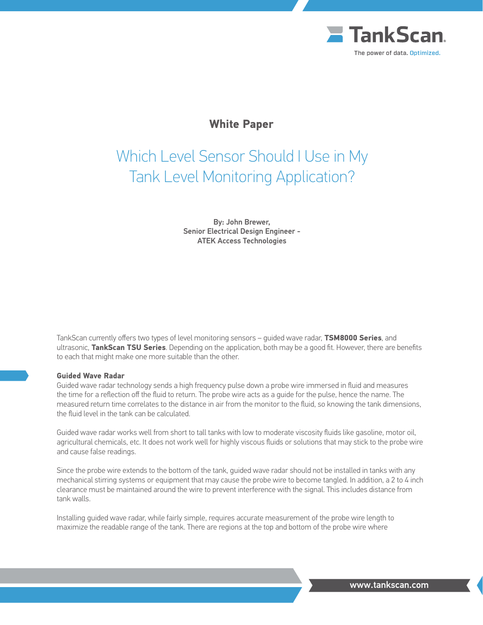

## **White Paper**

# Which Level Sensor Should I Use in My Tank Level Monitoring Application?

By: John Brewer, Senior Electrical Design Engineer - ATEK Access Technologies

TankScan currently offers two types of level monitoring sensors – guided wave radar, **TSM8000 Series**, and ultrasonic, **TankScan TSU Series**. Depending on the application, both may be a good fit. However, there are benefits to each that might make one more suitable than the other.

#### **Guided Wave Radar**

Guided wave radar technology sends a high frequency pulse down a probe wire immersed in fluid and measures the time for a reflection off the fluid to return. The probe wire acts as a guide for the pulse, hence the name. The measured return time correlates to the distance in air from the monitor to the fluid, so knowing the tank dimensions, the fluid level in the tank can be calculated.

Guided wave radar works well from short to tall tanks with low to moderate viscosity fluids like gasoline, motor oil, agricultural chemicals, etc. It does not work well for highly viscous fluids or solutions that may stick to the probe wire and cause false readings.

Since the probe wire extends to the bottom of the tank, guided wave radar should not be installed in tanks with any mechanical stirring systems or equipment that may cause the probe wire to become tangled. In addition, a 2 to 4 inch clearance must be maintained around the wire to prevent interference with the signal. This includes distance from tank walls.

Installing guided wave radar, while fairly simple, requires accurate measurement of the probe wire length to maximize the readable range of the tank. There are regions at the top and bottom of the probe wire where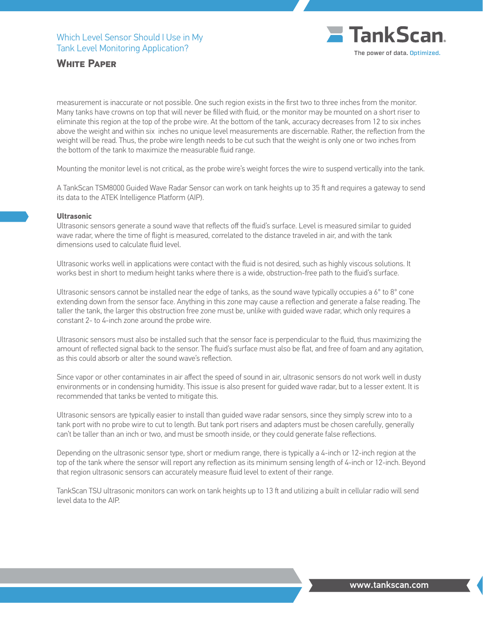

## **White Paper**

measurement is inaccurate or not possible. One such region exists in the first two to three inches from the monitor. Many tanks have crowns on top that will never be filled with fluid, or the monitor may be mounted on a short riser to eliminate this region at the top of the probe wire. At the bottom of the tank, accuracy decreases from 12 to six inches above the weight and within six inches no unique level measurements are discernable. Rather, the reflection from the weight will be read. Thus, the probe wire length needs to be cut such that the weight is only one or two inches from the bottom of the tank to maximize the measurable fluid range.

Mounting the monitor level is not critical, as the probe wire's weight forces the wire to suspend vertically into the tank.

A TankScan TSM8000 Guided Wave Radar Sensor can work on tank heights up to 35 ft and requires a gateway to send its data to the ATEK Intelligence Platform (AIP).

## **Ultrasonic**

Ultrasonic sensors generate a sound wave that reflects off the fluid's surface. Level is measured similar to guided wave radar, where the time of flight is measured, correlated to the distance traveled in air, and with the tank dimensions used to calculate fluid level.

Ultrasonic works well in applications were contact with the fluid is not desired, such as highly viscous solutions. It works best in short to medium height tanks where there is a wide, obstruction-free path to the fluid's surface.

Ultrasonic sensors cannot be installed near the edge of tanks, as the sound wave typically occupies a 6° to 8° cone extending down from the sensor face. Anything in this zone may cause a reflection and generate a false reading. The taller the tank, the larger this obstruction free zone must be, unlike with guided wave radar, which only requires a constant 2- to 4-inch zone around the probe wire.

Ultrasonic sensors must also be installed such that the sensor face is perpendicular to the fluid, thus maximizing the amount of reflected signal back to the sensor. The fluid's surface must also be flat, and free of foam and any agitation, as this could absorb or alter the sound wave's reflection.

Since vapor or other contaminates in air affect the speed of sound in air, ultrasonic sensors do not work well in dusty environments or in condensing humidity. This issue is also present for guided wave radar, but to a lesser extent. It is recommended that tanks be vented to mitigate this.

Ultrasonic sensors are typically easier to install than guided wave radar sensors, since they simply screw into to a tank port with no probe wire to cut to length. But tank port risers and adapters must be chosen carefully, generally can't be taller than an inch or two, and must be smooth inside, or they could generate false reflections.

Depending on the ultrasonic sensor type, short or medium range, there is typically a 4-inch or 12-inch region at the top of the tank where the sensor will report any reflection as its minimum sensing length of 4-inch or 12-inch. Beyond that region ultrasonic sensors can accurately measure fluid level to extent of their range.

TankScan TSU ultrasonic monitors can work on tank heights up to 13 ft and utilizing a built in cellular radio will send level data to the AIP.